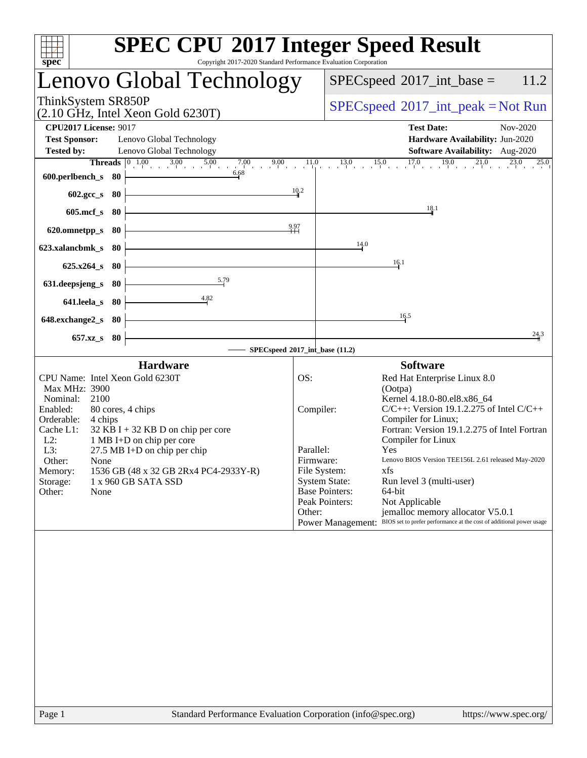| spec <sup>®</sup>                                                                                                                                                                                                                                                                                                                                                                            | <b>SPEC CPU®2017 Integer Speed Result</b><br>Copyright 2017-2020 Standard Performance Evaluation Corporation                                                                                                                                                                                                                                                                                                                                                                                                                                                                                                              |
|----------------------------------------------------------------------------------------------------------------------------------------------------------------------------------------------------------------------------------------------------------------------------------------------------------------------------------------------------------------------------------------------|---------------------------------------------------------------------------------------------------------------------------------------------------------------------------------------------------------------------------------------------------------------------------------------------------------------------------------------------------------------------------------------------------------------------------------------------------------------------------------------------------------------------------------------------------------------------------------------------------------------------------|
| Lenovo Global Technology                                                                                                                                                                                                                                                                                                                                                                     | $SPEC speed^{\circ}2017\_int\_base =$<br>11.2                                                                                                                                                                                                                                                                                                                                                                                                                                                                                                                                                                             |
| ThinkSystem SR850P<br>(2.10 GHz, Intel Xeon Gold 6230T)                                                                                                                                                                                                                                                                                                                                      | $SPEC speed^{\circ}2017\_int\_peak = Not Run$                                                                                                                                                                                                                                                                                                                                                                                                                                                                                                                                                                             |
| <b>CPU2017 License: 9017</b><br><b>Test Sponsor:</b><br>Lenovo Global Technology<br><b>Tested by:</b><br>Lenovo Global Technology                                                                                                                                                                                                                                                            | <b>Test Date:</b><br>Nov-2020<br>Hardware Availability: Jun-2020<br>Software Availability: Aug-2020                                                                                                                                                                                                                                                                                                                                                                                                                                                                                                                       |
| 6.68<br>600.perlbench_s $80$                                                                                                                                                                                                                                                                                                                                                                 | 10.2                                                                                                                                                                                                                                                                                                                                                                                                                                                                                                                                                                                                                      |
| $602.\text{sec}\_\text{S}$ 80<br>$605 \text{.mcf}\, \text{s}$ 80                                                                                                                                                                                                                                                                                                                             | 18.1                                                                                                                                                                                                                                                                                                                                                                                                                                                                                                                                                                                                                      |
| 620.omnetpp_s 80 $\vert$<br>623.xalancbmk_s 80                                                                                                                                                                                                                                                                                                                                               | $^{9.97}$<br>14.0                                                                                                                                                                                                                                                                                                                                                                                                                                                                                                                                                                                                         |
| $625.x264_s 80$                                                                                                                                                                                                                                                                                                                                                                              | 16.1                                                                                                                                                                                                                                                                                                                                                                                                                                                                                                                                                                                                                      |
| $\frac{5.79}{2}$<br>631.deepsjeng_s 80 $\vert$<br>4.82<br>641.leela_s 80 $\vert$                                                                                                                                                                                                                                                                                                             |                                                                                                                                                                                                                                                                                                                                                                                                                                                                                                                                                                                                                           |
| $648$ .exchange $2_s$ 80<br>657.xz_s 80                                                                                                                                                                                                                                                                                                                                                      | $\frac{16.5}{1}$<br>24.3                                                                                                                                                                                                                                                                                                                                                                                                                                                                                                                                                                                                  |
|                                                                                                                                                                                                                                                                                                                                                                                              | $-$ SPECspeed®2017_int_base (11.2)                                                                                                                                                                                                                                                                                                                                                                                                                                                                                                                                                                                        |
| <b>Hardware</b>                                                                                                                                                                                                                                                                                                                                                                              | <b>Software</b>                                                                                                                                                                                                                                                                                                                                                                                                                                                                                                                                                                                                           |
| CPU Name: Intel Xeon Gold 6230T<br>Max MHz: 3900<br>2100<br>Nominal:<br>Enabled:<br>80 cores, 4 chips<br>Orderable:<br>4 chips<br>$32$ KB I + 32 KB D on chip per core<br>Cache L1:<br>1 MB I+D on chip per core<br>$L2$ :<br>L3:<br>27.5 MB I+D on chip per chip<br>Other:<br>None<br>1536 GB (48 x 32 GB 2Rx4 PC4-2933Y-R)<br>Memory:<br>1 x 960 GB SATA SSD<br>Storage:<br>Other:<br>None | OS:<br>Red Hat Enterprise Linux 8.0<br>(Ootpa)<br>Kernel 4.18.0-80.el8.x86_64<br>$C/C++$ : Version 19.1.2.275 of Intel $C/C++$<br>Compiler:<br>Compiler for Linux;<br>Fortran: Version 19.1.2.275 of Intel Fortran<br>Compiler for Linux<br>Parallel:<br>Yes<br>Lenovo BIOS Version TEE156L 2.61 released May-2020<br>Firmware:<br>File System:<br>xfs<br><b>System State:</b><br>Run level 3 (multi-user)<br><b>Base Pointers:</b><br>64-bit<br>Peak Pointers:<br>Not Applicable<br>Other:<br>jemalloc memory allocator V5.0.1<br>Power Management: BIOS set to prefer performance at the cost of additional power usage |
|                                                                                                                                                                                                                                                                                                                                                                                              |                                                                                                                                                                                                                                                                                                                                                                                                                                                                                                                                                                                                                           |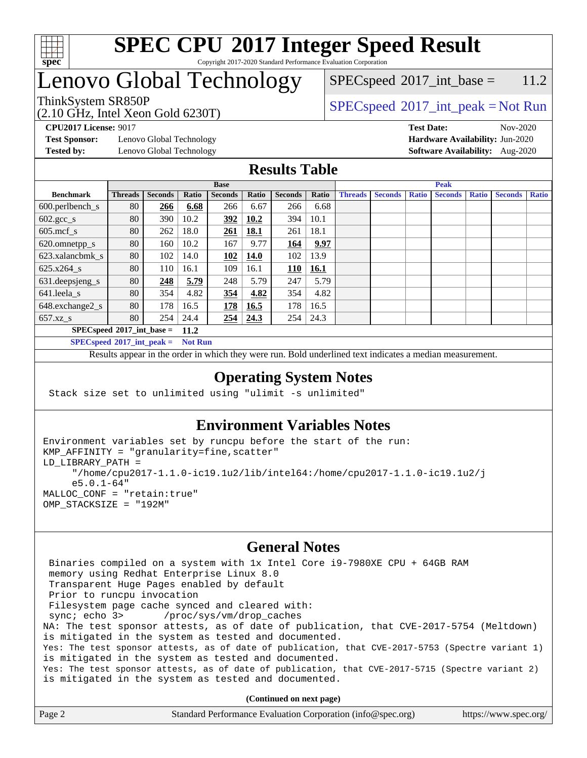

## Lenovo Global Technology

(2.10 GHz, Intel Xeon Gold 6230T)

 $SPEC speed^{\circ}2017\_int\_peak = Not Run$  $SPEC speed^{\circ}2017\_int\_base = 11.2$ 

**[Test Sponsor:](http://www.spec.org/auto/cpu2017/Docs/result-fields.html#TestSponsor)** Lenovo Global Technology **[Hardware Availability:](http://www.spec.org/auto/cpu2017/Docs/result-fields.html#HardwareAvailability)** Jun-2020 **[Tested by:](http://www.spec.org/auto/cpu2017/Docs/result-fields.html#Testedby)** Lenovo Global Technology **[Software Availability:](http://www.spec.org/auto/cpu2017/Docs/result-fields.html#SoftwareAvailability)** Aug-2020

**[CPU2017 License:](http://www.spec.org/auto/cpu2017/Docs/result-fields.html#CPU2017License)** 9017 **[Test Date:](http://www.spec.org/auto/cpu2017/Docs/result-fields.html#TestDate)** Nov-2020

### **[Results Table](http://www.spec.org/auto/cpu2017/Docs/result-fields.html#ResultsTable)**

|                                     | <b>Base</b>    |                |       |                | <b>Peak</b>  |                |             |                |                |              |                |              |                |              |
|-------------------------------------|----------------|----------------|-------|----------------|--------------|----------------|-------------|----------------|----------------|--------------|----------------|--------------|----------------|--------------|
| <b>Benchmark</b>                    | <b>Threads</b> | <b>Seconds</b> | Ratio | <b>Seconds</b> | <b>Ratio</b> | <b>Seconds</b> | Ratio       | <b>Threads</b> | <b>Seconds</b> | <b>Ratio</b> | <b>Seconds</b> | <b>Ratio</b> | <b>Seconds</b> | <b>Ratio</b> |
| $600.$ perlbench_s                  | 80             | 266            | 6.68  | 266            | 6.67         | 266            | 6.68        |                |                |              |                |              |                |              |
| $602.\text{gcc}\_\text{s}$          | 80             | 390            | 10.2  | 392            | 10.2         | 394            | 10.1        |                |                |              |                |              |                |              |
| $605$ .mcf s                        | 80             | 262            | 18.0  | <u>261</u>     | 18.1         | 261            | 18.1        |                |                |              |                |              |                |              |
| 620.omnetpp_s                       | 80             | 160            | 10.2  | 167            | 9.77         | 164            | 9.97        |                |                |              |                |              |                |              |
| 623.xalancbmk s                     | 80             | 102            | 14.0  | 102            | 14.0         | 102            | 13.9        |                |                |              |                |              |                |              |
| 625.x264 s                          | 80             | 110            | 16.1  | 109            | 16.1         | 110            | <b>16.1</b> |                |                |              |                |              |                |              |
| 631.deepsjeng_s                     | 80             | 248            | 5.79  | 248            | 5.79         | 247            | 5.79        |                |                |              |                |              |                |              |
| 641.leela s                         | 80             | 354            | 4.82  | 354            | 4.82         | 354            | 4.82        |                |                |              |                |              |                |              |
| 648.exchange2_s                     | 80             | 178            | 16.5  | 178            | 16.5         | 178            | 16.5        |                |                |              |                |              |                |              |
| $657.xz$ s                          | 80             | 254            | 24.4  | <u>254</u>     | 24.3         | 254            | 24.3        |                |                |              |                |              |                |              |
| $SPECspeed*2017$ int base =<br>11.2 |                |                |       |                |              |                |             |                |                |              |                |              |                |              |

**[SPECspeed](http://www.spec.org/auto/cpu2017/Docs/result-fields.html#SPECspeed2017intpeak)[2017\\_int\\_peak =](http://www.spec.org/auto/cpu2017/Docs/result-fields.html#SPECspeed2017intpeak) Not Run**

Results appear in the [order in which they were run.](http://www.spec.org/auto/cpu2017/Docs/result-fields.html#RunOrder) Bold underlined text [indicates a median measurement.](http://www.spec.org/auto/cpu2017/Docs/result-fields.html#Median)

#### **[Operating System Notes](http://www.spec.org/auto/cpu2017/Docs/result-fields.html#OperatingSystemNotes)**

Stack size set to unlimited using "ulimit -s unlimited"

### **[Environment Variables Notes](http://www.spec.org/auto/cpu2017/Docs/result-fields.html#EnvironmentVariablesNotes)**

```
Environment variables set by runcpu before the start of the run:
KMP_AFFINITY = "granularity=fine,scatter"
LD_LIBRARY_PATH =
      "/home/cpu2017-1.1.0-ic19.1u2/lib/intel64:/home/cpu2017-1.1.0-ic19.1u2/j
      e5.0.1-64"
MALLOC_CONF = "retain:true"
OMP_STACKSIZE = "192M"
```
#### **[General Notes](http://www.spec.org/auto/cpu2017/Docs/result-fields.html#GeneralNotes)**

 Binaries compiled on a system with 1x Intel Core i9-7980XE CPU + 64GB RAM memory using Redhat Enterprise Linux 8.0 Transparent Huge Pages enabled by default Prior to runcpu invocation Filesystem page cache synced and cleared with: sync; echo 3> /proc/sys/vm/drop\_caches NA: The test sponsor attests, as of date of publication, that CVE-2017-5754 (Meltdown) is mitigated in the system as tested and documented. Yes: The test sponsor attests, as of date of publication, that CVE-2017-5753 (Spectre variant 1) is mitigated in the system as tested and documented. Yes: The test sponsor attests, as of date of publication, that CVE-2017-5715 (Spectre variant 2) is mitigated in the system as tested and documented.

**(Continued on next page)**

| Page 2 | Standard Performance Evaluation Corporation (info@spec.org) | https://www.spec.org/ |
|--------|-------------------------------------------------------------|-----------------------|
|        |                                                             |                       |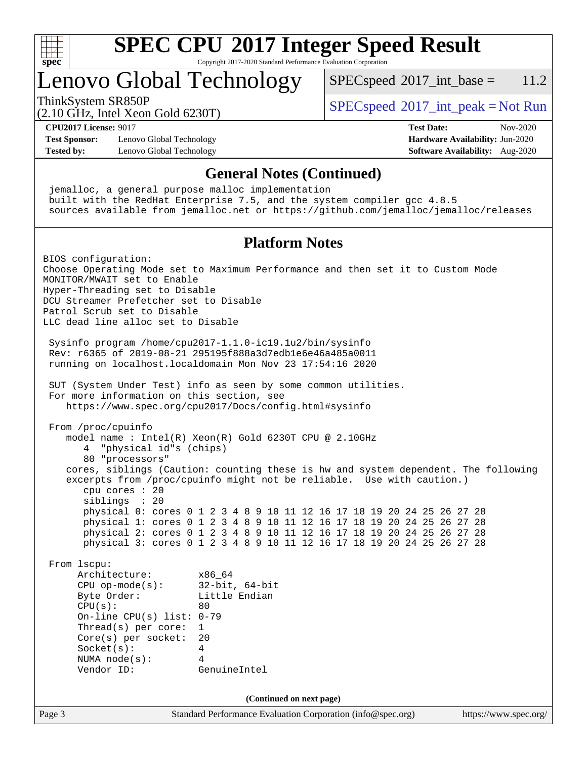

# **[SPEC CPU](http://www.spec.org/auto/cpu2017/Docs/result-fields.html#SPECCPU2017IntegerSpeedResult)[2017 Integer Speed Result](http://www.spec.org/auto/cpu2017/Docs/result-fields.html#SPECCPU2017IntegerSpeedResult)**

Copyright 2017-2020 Standard Performance Evaluation Corporation

### Lenovo Global Technology

 $SPEC speed^{\circ}2017\_int\_base = 11.2$ 

(2.10 GHz, Intel Xeon Gold 6230T)

ThinkSystem SR850P<br>  $SPEC speed^{\circ}2017\_int\_peak = Not Run$ 

**[CPU2017 License:](http://www.spec.org/auto/cpu2017/Docs/result-fields.html#CPU2017License)** 9017 **[Test Date:](http://www.spec.org/auto/cpu2017/Docs/result-fields.html#TestDate)** Nov-2020

**[Test Sponsor:](http://www.spec.org/auto/cpu2017/Docs/result-fields.html#TestSponsor)** Lenovo Global Technology **[Hardware Availability:](http://www.spec.org/auto/cpu2017/Docs/result-fields.html#HardwareAvailability)** Jun-2020 **[Tested by:](http://www.spec.org/auto/cpu2017/Docs/result-fields.html#Testedby)** Lenovo Global Technology **[Software Availability:](http://www.spec.org/auto/cpu2017/Docs/result-fields.html#SoftwareAvailability)** Aug-2020

#### **[General Notes \(Continued\)](http://www.spec.org/auto/cpu2017/Docs/result-fields.html#GeneralNotes)**

 jemalloc, a general purpose malloc implementation built with the RedHat Enterprise 7.5, and the system compiler gcc 4.8.5 sources available from jemalloc.net or <https://github.com/jemalloc/jemalloc/releases> **[Platform Notes](http://www.spec.org/auto/cpu2017/Docs/result-fields.html#PlatformNotes)** BIOS configuration: Choose Operating Mode set to Maximum Performance and then set it to Custom Mode MONITOR/MWAIT set to Enable Hyper-Threading set to Disable DCU Streamer Prefetcher set to Disable Patrol Scrub set to Disable LLC dead line alloc set to Disable Sysinfo program /home/cpu2017-1.1.0-ic19.1u2/bin/sysinfo Rev: r6365 of 2019-08-21 295195f888a3d7edb1e6e46a485a0011 running on localhost.localdomain Mon Nov 23 17:54:16 2020 SUT (System Under Test) info as seen by some common utilities. For more information on this section, see <https://www.spec.org/cpu2017/Docs/config.html#sysinfo> From /proc/cpuinfo model name : Intel(R) Xeon(R) Gold 6230T CPU @ 2.10GHz 4 "physical id"s (chips) 80 "processors" cores, siblings (Caution: counting these is hw and system dependent. The following excerpts from /proc/cpuinfo might not be reliable. Use with caution.) cpu cores : 20 siblings : 20 physical 0: cores 0 1 2 3 4 8 9 10 11 12 16 17 18 19 20 24 25 26 27 28 physical 1: cores 0 1 2 3 4 8 9 10 11 12 16 17 18 19 20 24 25 26 27 28 physical 2: cores 0 1 2 3 4 8 9 10 11 12 16 17 18 19 20 24 25 26 27 28 physical 3: cores 0 1 2 3 4 8 9 10 11 12 16 17 18 19 20 24 25 26 27 28 From lscpu: Architecture: x86\_64 CPU op-mode(s): 32-bit, 64-bit Byte Order: Little Endian  $CPU(s):$  80 On-line CPU(s) list: 0-79 Thread(s) per core: 1 Core(s) per socket: 20 Socket(s): 4 NUMA node(s): 4 Vendor ID: GenuineIntel **(Continued on next page)**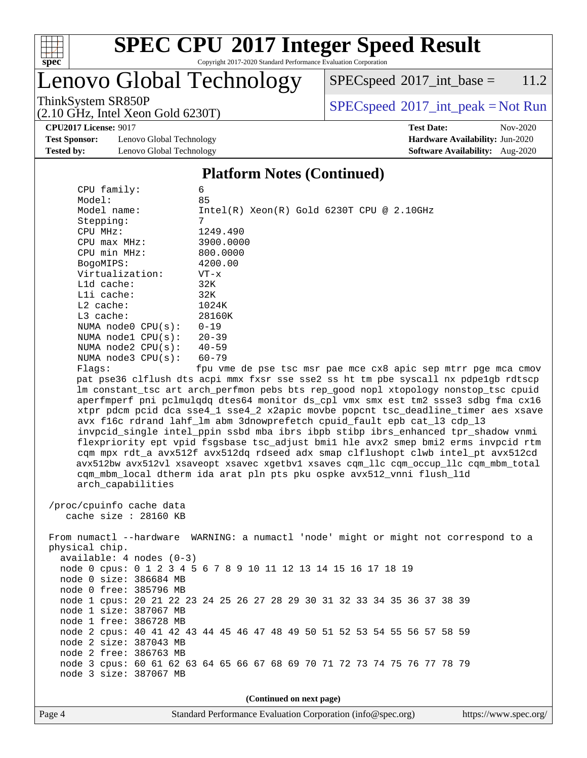

# **[SPEC CPU](http://www.spec.org/auto/cpu2017/Docs/result-fields.html#SPECCPU2017IntegerSpeedResult)[2017 Integer Speed Result](http://www.spec.org/auto/cpu2017/Docs/result-fields.html#SPECCPU2017IntegerSpeedResult)**

Copyright 2017-2020 Standard Performance Evaluation Corporation

## Lenovo Global Technology

 $SPECspeed^{\circledcirc}2017\_int\_base = 11.2$  $SPECspeed^{\circledcirc}2017\_int\_base = 11.2$ 

(2.10 GHz, Intel Xeon Gold 6230T)

ThinkSystem SR850P<br>  $(2.10 \text{ GHz} \text{ Intel } \text{Yoon} \text{ Gold } 6230 \text{T})$  [SPECspeed](http://www.spec.org/auto/cpu2017/Docs/result-fields.html#SPECspeed2017intpeak)<sup>®</sup>[2017\\_int\\_peak = N](http://www.spec.org/auto/cpu2017/Docs/result-fields.html#SPECspeed2017intpeak)ot Run

**[Test Sponsor:](http://www.spec.org/auto/cpu2017/Docs/result-fields.html#TestSponsor)** Lenovo Global Technology **[Hardware Availability:](http://www.spec.org/auto/cpu2017/Docs/result-fields.html#HardwareAvailability)** Jun-2020 **[Tested by:](http://www.spec.org/auto/cpu2017/Docs/result-fields.html#Testedby)** Lenovo Global Technology **[Software Availability:](http://www.spec.org/auto/cpu2017/Docs/result-fields.html#SoftwareAvailability)** Aug-2020

**[CPU2017 License:](http://www.spec.org/auto/cpu2017/Docs/result-fields.html#CPU2017License)** 9017 **[Test Date:](http://www.spec.org/auto/cpu2017/Docs/result-fields.html#TestDate)** Nov-2020

#### **[Platform Notes \(Continued\)](http://www.spec.org/auto/cpu2017/Docs/result-fields.html#PlatformNotes)**

| CPU family:                                                                          | 6                                                                                    |  |  |  |  |  |
|--------------------------------------------------------------------------------------|--------------------------------------------------------------------------------------|--|--|--|--|--|
| Model:                                                                               | 85                                                                                   |  |  |  |  |  |
| Model name:                                                                          | $Intel(R)$ Xeon $(R)$ Gold 6230T CPU @ 2.10GHz                                       |  |  |  |  |  |
| Stepping:                                                                            | 7                                                                                    |  |  |  |  |  |
| CPU MHz:                                                                             | 1249.490                                                                             |  |  |  |  |  |
| CPU max MHz:                                                                         | 3900.0000                                                                            |  |  |  |  |  |
| CPU min MHz:                                                                         | 800.0000                                                                             |  |  |  |  |  |
| BogoMIPS:                                                                            | 4200.00                                                                              |  |  |  |  |  |
| Virtualization:                                                                      | $VT - x$                                                                             |  |  |  |  |  |
| Lld cache:                                                                           | 32K                                                                                  |  |  |  |  |  |
| Lli cache:                                                                           | 32K                                                                                  |  |  |  |  |  |
| $L2$ cache:                                                                          | 1024K                                                                                |  |  |  |  |  |
| $L3$ cache:                                                                          | 28160K                                                                               |  |  |  |  |  |
| NUMA $node0$ $CPU(s)$ :                                                              | $0 - 19$                                                                             |  |  |  |  |  |
| NUMA $node1$ $CPU(s):$                                                               | $20 - 39$                                                                            |  |  |  |  |  |
| NUMA $node2$ $CPU(s):$                                                               | $40 - 59$                                                                            |  |  |  |  |  |
| NUMA $node3$ CPU $(s)$ :                                                             | $60 - 79$                                                                            |  |  |  |  |  |
| Flags:                                                                               | fpu vme de pse tsc msr pae mce cx8 apic sep mtrr pge mca cmov                        |  |  |  |  |  |
|                                                                                      | pat pse36 clflush dts acpi mmx fxsr sse sse2 ss ht tm pbe syscall nx pdpe1gb rdtscp  |  |  |  |  |  |
|                                                                                      | lm constant_tsc art arch_perfmon pebs bts rep_good nopl xtopology nonstop_tsc cpuid  |  |  |  |  |  |
|                                                                                      | aperfmperf pni pclmulqdq dtes64 monitor ds_cpl vmx smx est tm2 ssse3 sdbg fma cx16   |  |  |  |  |  |
|                                                                                      | xtpr pdcm pcid dca sse4_1 sse4_2 x2apic movbe popcnt tsc_deadline_timer aes xsave    |  |  |  |  |  |
|                                                                                      | avx f16c rdrand lahf_lm abm 3dnowprefetch cpuid_fault epb cat_13 cdp_13              |  |  |  |  |  |
|                                                                                      | invpcid_single intel_ppin ssbd mba ibrs ibpb stibp ibrs_enhanced tpr_shadow vnmi     |  |  |  |  |  |
|                                                                                      | flexpriority ept vpid fsgsbase tsc_adjust bmil hle avx2 smep bmi2 erms invpcid rtm   |  |  |  |  |  |
|                                                                                      | cqm mpx rdt_a avx512f avx512dq rdseed adx smap clflushopt clwb intel_pt avx512cd     |  |  |  |  |  |
| avx512bw avx512vl xsaveopt xsavec xgetbvl xsaves cqm_llc cqm_occup_llc cqm_mbm_total |                                                                                      |  |  |  |  |  |
|                                                                                      | cqm_mbm_local dtherm ida arat pln pts pku ospke avx512_vnni flush_l1d                |  |  |  |  |  |
| arch_capabilities                                                                    |                                                                                      |  |  |  |  |  |
|                                                                                      |                                                                                      |  |  |  |  |  |
| /proc/cpuinfo cache data                                                             |                                                                                      |  |  |  |  |  |
| cache size : 28160 KB                                                                |                                                                                      |  |  |  |  |  |
|                                                                                      |                                                                                      |  |  |  |  |  |
|                                                                                      | From numactl --hardware WARNING: a numactl 'node' might or might not correspond to a |  |  |  |  |  |
| physical chip.                                                                       |                                                                                      |  |  |  |  |  |
| $available: 4 nodes (0-3)$                                                           |                                                                                      |  |  |  |  |  |
|                                                                                      | node 0 cpus: 0 1 2 3 4 5 6 7 8 9 10 11 12 13 14 15 16 17 18 19                       |  |  |  |  |  |
| node 0 size: 386684 MB                                                               |                                                                                      |  |  |  |  |  |
| node 0 free: 385796 MB                                                               |                                                                                      |  |  |  |  |  |
|                                                                                      | node 1 cpus: 20 21 22 23 24 25 26 27 28 29 30 31 32 33 34 35 36 37 38 39             |  |  |  |  |  |
| node 1 size: 387067 MB                                                               |                                                                                      |  |  |  |  |  |
| node 1 free: 386728 MB                                                               |                                                                                      |  |  |  |  |  |
|                                                                                      | node 2 cpus: 40 41 42 43 44 45 46 47 48 49 50 51 52 53 54 55 56 57 58 59             |  |  |  |  |  |
| node 2 size: 387043 MB                                                               |                                                                                      |  |  |  |  |  |
| node 2 free: 386763 MB                                                               |                                                                                      |  |  |  |  |  |
|                                                                                      | node 3 cpus: 60 61 62 63 64 65 66 67 68 69 70 71 72 73 74 75 76 77 78 79             |  |  |  |  |  |
| node 3 size: 387067 MB                                                               |                                                                                      |  |  |  |  |  |
|                                                                                      |                                                                                      |  |  |  |  |  |
| (Continued on next page)                                                             |                                                                                      |  |  |  |  |  |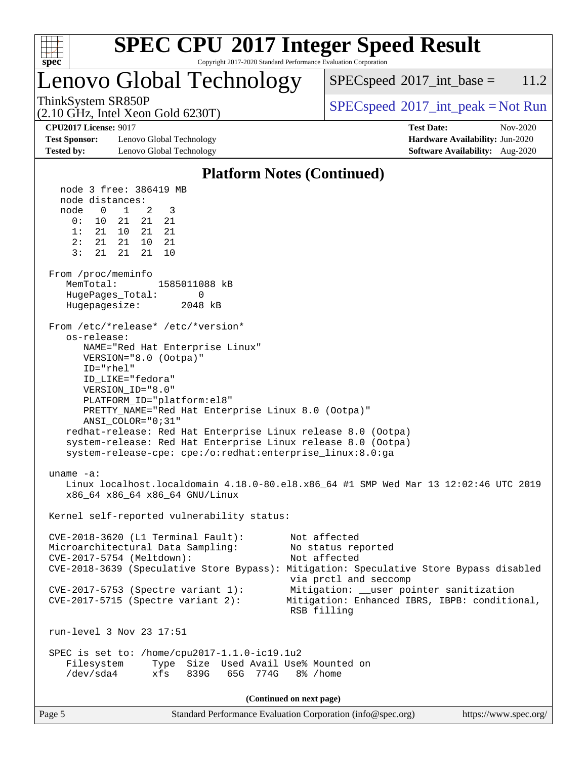

### Lenovo Global Technology

 $SPEC speed^{\circ}2017\_int\_base = 11.2$ 

(2.10 GHz, Intel Xeon Gold 6230T)

ThinkSystem SR850P<br>  $\begin{array}{c}\n\text{SPEC speed} \text{?}2017\_int\_peak = Not Run\n\end{array}$ 

**[Test Sponsor:](http://www.spec.org/auto/cpu2017/Docs/result-fields.html#TestSponsor)** Lenovo Global Technology **[Hardware Availability:](http://www.spec.org/auto/cpu2017/Docs/result-fields.html#HardwareAvailability)** Jun-2020 **[Tested by:](http://www.spec.org/auto/cpu2017/Docs/result-fields.html#Testedby)** Lenovo Global Technology **[Software Availability:](http://www.spec.org/auto/cpu2017/Docs/result-fields.html#SoftwareAvailability)** Aug-2020

**[CPU2017 License:](http://www.spec.org/auto/cpu2017/Docs/result-fields.html#CPU2017License)** 9017 **[Test Date:](http://www.spec.org/auto/cpu2017/Docs/result-fields.html#TestDate)** Nov-2020

#### **[Platform Notes \(Continued\)](http://www.spec.org/auto/cpu2017/Docs/result-fields.html#PlatformNotes)** node 3 free: 386419 MB node distances: node 0 1 2 3 0: 10 21 21 21 1: 21 10 21 21 2: 21 21 10 21 3: 21 21 21 10 From /proc/meminfo MemTotal: 1585011088 kB HugePages\_Total: 0 Hugepagesize: 2048 kB From /etc/\*release\* /etc/\*version\* os-release: NAME="Red Hat Enterprise Linux" VERSION="8.0 (Ootpa)" ID="rhel" ID\_LIKE="fedora" VERSION\_ID="8.0" PLATFORM\_ID="platform:el8" PRETTY\_NAME="Red Hat Enterprise Linux 8.0 (Ootpa)" ANSI\_COLOR="0;31" redhat-release: Red Hat Enterprise Linux release 8.0 (Ootpa) system-release: Red Hat Enterprise Linux release 8.0 (Ootpa) system-release-cpe: cpe:/o:redhat:enterprise\_linux:8.0:ga uname -a: Linux localhost.localdomain 4.18.0-80.el8.x86\_64 #1 SMP Wed Mar 13 12:02:46 UTC 2019 x86\_64 x86\_64 x86\_64 GNU/Linux Kernel self-reported vulnerability status: CVE-2018-3620 (L1 Terminal Fault): Not affected Microarchitectural Data Sampling: No status reported CVE-2017-5754 (Meltdown): Not affected CVE-2018-3639 (Speculative Store Bypass): Mitigation: Speculative Store Bypass disabled via prctl and seccomp CVE-2017-5753 (Spectre variant 1): Mitigation: \_\_user pointer sanitization CVE-2017-5715 (Spectre variant 2): Mitigation: Enhanced IBRS, IBPB: conditional, RSB filling run-level 3 Nov 23 17:51 SPEC is set to: /home/cpu2017-1.1.0-ic19.1u2 Filesystem Type Size Used Avail Use% Mounted on /dev/sda4 xfs 839G 65G 774G 8% /home

**(Continued on next page)**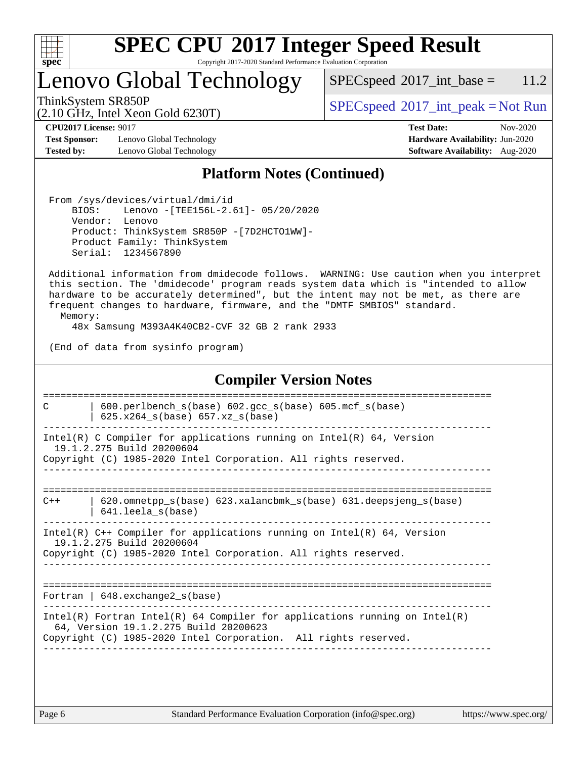

# **[SPEC CPU](http://www.spec.org/auto/cpu2017/Docs/result-fields.html#SPECCPU2017IntegerSpeedResult)[2017 Integer Speed Result](http://www.spec.org/auto/cpu2017/Docs/result-fields.html#SPECCPU2017IntegerSpeedResult)**

Copyright 2017-2020 Standard Performance Evaluation Corporation

Lenovo Global Technology

 $SPEC speed^{\circ}2017\_int\_base = 11.2$ 

(2.10 GHz, Intel Xeon Gold 6230T)

ThinkSystem SR850P<br>  $\begin{array}{c}\n\text{SPEC speed} \text{?}2017\_int\_peak = Not Run\n\end{array}$ 

**[Test Sponsor:](http://www.spec.org/auto/cpu2017/Docs/result-fields.html#TestSponsor)** Lenovo Global Technology **[Hardware Availability:](http://www.spec.org/auto/cpu2017/Docs/result-fields.html#HardwareAvailability)** Jun-2020 **[Tested by:](http://www.spec.org/auto/cpu2017/Docs/result-fields.html#Testedby)** Lenovo Global Technology **[Software Availability:](http://www.spec.org/auto/cpu2017/Docs/result-fields.html#SoftwareAvailability)** Aug-2020

**[CPU2017 License:](http://www.spec.org/auto/cpu2017/Docs/result-fields.html#CPU2017License)** 9017 **[Test Date:](http://www.spec.org/auto/cpu2017/Docs/result-fields.html#TestDate)** Nov-2020

#### **[Platform Notes \(Continued\)](http://www.spec.org/auto/cpu2017/Docs/result-fields.html#PlatformNotes)**

 From /sys/devices/virtual/dmi/id BIOS: Lenovo -[TEE156L-2.61]- 05/20/2020 Vendor: Lenovo Product: ThinkSystem SR850P -[7D2HCTO1WW]- Product Family: ThinkSystem Serial: 1234567890

 Additional information from dmidecode follows. WARNING: Use caution when you interpret this section. The 'dmidecode' program reads system data which is "intended to allow hardware to be accurately determined", but the intent may not be met, as there are frequent changes to hardware, firmware, and the "DMTF SMBIOS" standard.

Memory:

48x Samsung M393A4K40CB2-CVF 32 GB 2 rank 2933

(End of data from sysinfo program)

#### **[Compiler Version Notes](http://www.spec.org/auto/cpu2017/Docs/result-fields.html#CompilerVersionNotes)** ============================================================================== C | 600.perlbench\_s(base) 602.gcc\_s(base) 605.mcf\_s(base) | 625.x264  $s(base)$  657.xz  $s(base)$ ------------------------------------------------------------------------------ Intel(R) C Compiler for applications running on  $Intel(R) 64$ , Version 19.1.2.275 Build 20200604 Copyright (C) 1985-2020 Intel Corporation. All rights reserved. ------------------------------------------------------------------------------ ============================================================================== C++ | 620.omnetpp\_s(base) 623.xalancbmk\_s(base) 631.deepsjeng\_s(base) | 641.leela\_s(base) ------------------------------------------------------------------------------ Intel(R) C++ Compiler for applications running on Intel(R) 64, Version 19.1.2.275 Build 20200604 Copyright (C) 1985-2020 Intel Corporation. All rights reserved. ------------------------------------------------------------------------------ ============================================================================== Fortran | 648.exchange2\_s(base) ------------------------------------------------------------------------------ Intel(R) Fortran Intel(R) 64 Compiler for applications running on Intel(R) 64, Version 19.1.2.275 Build 20200623 Copyright (C) 1985-2020 Intel Corporation. All rights reserved. ------------------------------------------------------------------------------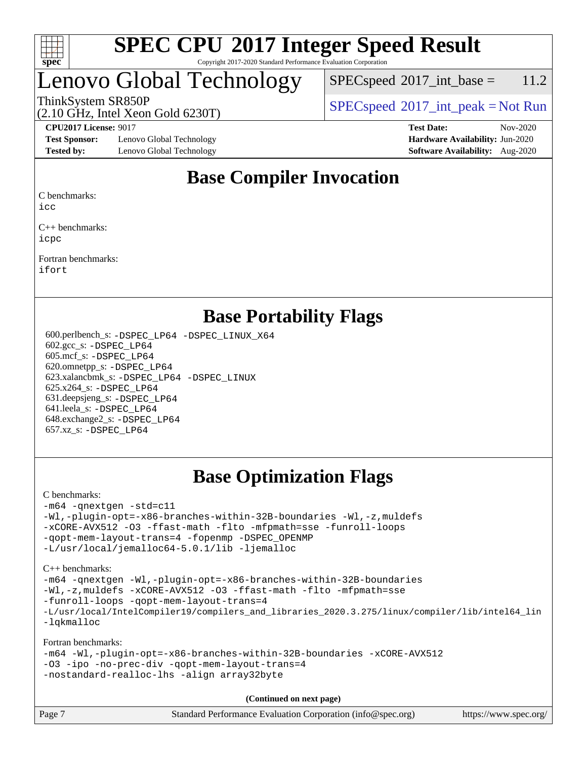

### Lenovo Global Technology

(2.10 GHz, Intel Xeon Gold 6230T)

 $SPEC speed^{\circ}2017\_int\_base = 11.2$ 

ThinkSystem SR850P<br>  $\begin{array}{c}\n\text{SPEC speed} \textdegree 2017\_int\_peak = Not Run\n\end{array}$ 

**[Test Sponsor:](http://www.spec.org/auto/cpu2017/Docs/result-fields.html#TestSponsor)** Lenovo Global Technology **[Hardware Availability:](http://www.spec.org/auto/cpu2017/Docs/result-fields.html#HardwareAvailability)** Jun-2020 **[Tested by:](http://www.spec.org/auto/cpu2017/Docs/result-fields.html#Testedby)** Lenovo Global Technology **[Software Availability:](http://www.spec.org/auto/cpu2017/Docs/result-fields.html#SoftwareAvailability)** Aug-2020

**[CPU2017 License:](http://www.spec.org/auto/cpu2017/Docs/result-fields.html#CPU2017License)** 9017 **[Test Date:](http://www.spec.org/auto/cpu2017/Docs/result-fields.html#TestDate)** Nov-2020

### **[Base Compiler Invocation](http://www.spec.org/auto/cpu2017/Docs/result-fields.html#BaseCompilerInvocation)**

[C benchmarks:](http://www.spec.org/auto/cpu2017/Docs/result-fields.html#Cbenchmarks)

[icc](http://www.spec.org/cpu2017/results/res2020q4/cpu2017-20201207-24522.flags.html#user_CCbase_intel_icc_66fc1ee009f7361af1fbd72ca7dcefbb700085f36577c54f309893dd4ec40d12360134090235512931783d35fd58c0460139e722d5067c5574d8eaf2b3e37e92)

[C++ benchmarks](http://www.spec.org/auto/cpu2017/Docs/result-fields.html#CXXbenchmarks): [icpc](http://www.spec.org/cpu2017/results/res2020q4/cpu2017-20201207-24522.flags.html#user_CXXbase_intel_icpc_c510b6838c7f56d33e37e94d029a35b4a7bccf4766a728ee175e80a419847e808290a9b78be685c44ab727ea267ec2f070ec5dc83b407c0218cded6866a35d07)

[Fortran benchmarks:](http://www.spec.org/auto/cpu2017/Docs/result-fields.html#Fortranbenchmarks) [ifort](http://www.spec.org/cpu2017/results/res2020q4/cpu2017-20201207-24522.flags.html#user_FCbase_intel_ifort_8111460550e3ca792625aed983ce982f94888b8b503583aa7ba2b8303487b4d8a21a13e7191a45c5fd58ff318f48f9492884d4413fa793fd88dd292cad7027ca)

### **[Base Portability Flags](http://www.spec.org/auto/cpu2017/Docs/result-fields.html#BasePortabilityFlags)**

 600.perlbench\_s: [-DSPEC\\_LP64](http://www.spec.org/cpu2017/results/res2020q4/cpu2017-20201207-24522.flags.html#b600.perlbench_s_basePORTABILITY_DSPEC_LP64) [-DSPEC\\_LINUX\\_X64](http://www.spec.org/cpu2017/results/res2020q4/cpu2017-20201207-24522.flags.html#b600.perlbench_s_baseCPORTABILITY_DSPEC_LINUX_X64) 602.gcc\_s: [-DSPEC\\_LP64](http://www.spec.org/cpu2017/results/res2020q4/cpu2017-20201207-24522.flags.html#suite_basePORTABILITY602_gcc_s_DSPEC_LP64) 605.mcf\_s: [-DSPEC\\_LP64](http://www.spec.org/cpu2017/results/res2020q4/cpu2017-20201207-24522.flags.html#suite_basePORTABILITY605_mcf_s_DSPEC_LP64) 620.omnetpp\_s: [-DSPEC\\_LP64](http://www.spec.org/cpu2017/results/res2020q4/cpu2017-20201207-24522.flags.html#suite_basePORTABILITY620_omnetpp_s_DSPEC_LP64) 623.xalancbmk\_s: [-DSPEC\\_LP64](http://www.spec.org/cpu2017/results/res2020q4/cpu2017-20201207-24522.flags.html#suite_basePORTABILITY623_xalancbmk_s_DSPEC_LP64) [-DSPEC\\_LINUX](http://www.spec.org/cpu2017/results/res2020q4/cpu2017-20201207-24522.flags.html#b623.xalancbmk_s_baseCXXPORTABILITY_DSPEC_LINUX) 625.x264\_s: [-DSPEC\\_LP64](http://www.spec.org/cpu2017/results/res2020q4/cpu2017-20201207-24522.flags.html#suite_basePORTABILITY625_x264_s_DSPEC_LP64) 631.deepsjeng\_s: [-DSPEC\\_LP64](http://www.spec.org/cpu2017/results/res2020q4/cpu2017-20201207-24522.flags.html#suite_basePORTABILITY631_deepsjeng_s_DSPEC_LP64) 641.leela\_s: [-DSPEC\\_LP64](http://www.spec.org/cpu2017/results/res2020q4/cpu2017-20201207-24522.flags.html#suite_basePORTABILITY641_leela_s_DSPEC_LP64) 648.exchange2\_s: [-DSPEC\\_LP64](http://www.spec.org/cpu2017/results/res2020q4/cpu2017-20201207-24522.flags.html#suite_basePORTABILITY648_exchange2_s_DSPEC_LP64) 657.xz\_s: [-DSPEC\\_LP64](http://www.spec.org/cpu2017/results/res2020q4/cpu2017-20201207-24522.flags.html#suite_basePORTABILITY657_xz_s_DSPEC_LP64)

### **[Base Optimization Flags](http://www.spec.org/auto/cpu2017/Docs/result-fields.html#BaseOptimizationFlags)**

#### [C benchmarks](http://www.spec.org/auto/cpu2017/Docs/result-fields.html#Cbenchmarks):

```
-m64 -qnextgen -std=c11
-Wl,-plugin-opt=-x86-branches-within-32B-boundaries -Wl,-z,muldefs
-xCORE-AVX512 -O3 -ffast-math -flto -mfpmath=sse -funroll-loops
-qopt-mem-layout-trans=4 -fopenmp -DSPEC_OPENMP
-L/usr/local/jemalloc64-5.0.1/lib -ljemalloc
```
[C++ benchmarks:](http://www.spec.org/auto/cpu2017/Docs/result-fields.html#CXXbenchmarks)

```
-m64 -qnextgen -Wl,-plugin-opt=-x86-branches-within-32B-boundaries
-Wl,-z,muldefs -xCORE-AVX512 -O3 -ffast-math -flto -mfpmath=sse
-funroll-loops -qopt-mem-layout-trans=4
-L/usr/local/IntelCompiler19/compilers_and_libraries_2020.3.275/linux/compiler/lib/intel64_lin
-lqkmalloc
```
[Fortran benchmarks:](http://www.spec.org/auto/cpu2017/Docs/result-fields.html#Fortranbenchmarks)

```
-m64 -Wl,-plugin-opt=-x86-branches-within-32B-boundaries -xCORE-AVX512
-O3 -ipo -no-prec-div -qopt-mem-layout-trans=4
-nostandard-realloc-lhs -align array32byte
```
**(Continued on next page)**

| Page 7 | Standard Performance Evaluation Corporation (info@spec.org) | https://www.spec.org/ |
|--------|-------------------------------------------------------------|-----------------------|